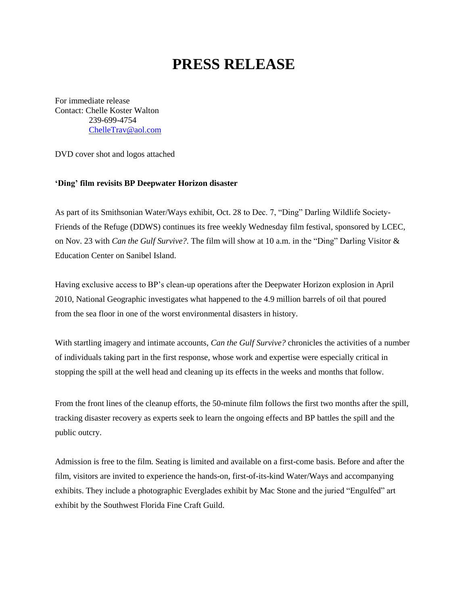## **PRESS RELEASE**

For immediate release Contact: Chelle Koster Walton 239-699-4754 [ChelleTrav@aol.com](mailto:ChelleTrav@aol.com)

DVD cover shot and logos attached

## **'Ding' film revisits BP Deepwater Horizon disaster**

As part of its Smithsonian Water/Ways exhibit, Oct. 28 to Dec. 7, "Ding" Darling Wildlife Society-Friends of the Refuge (DDWS) continues its free weekly Wednesday film festival, sponsored by LCEC, on Nov. 23 with *Can the Gulf Survive?.* The film will show at 10 a.m. in the "Ding" Darling Visitor & Education Center on Sanibel Island.

Having exclusive access to BP's clean-up operations after the Deepwater Horizon explosion in April 2010, National Geographic investigates what happened to the 4.9 million barrels of oil that poured from the sea floor in one of the worst environmental disasters in history.

With startling imagery and intimate accounts, *Can the Gulf Survive?* chronicles the activities of a number of individuals taking part in the first response, whose work and expertise were especially critical in stopping the spill at the well head and cleaning up its effects in the weeks and months that follow.

From the front lines of the cleanup efforts, the 50-minute film follows the first two months after the spill, tracking disaster recovery as experts seek to learn the ongoing effects and BP battles the spill and the public outcry.

Admission is free to the film. Seating is limited and available on a first-come basis. Before and after the film, visitors are invited to experience the hands-on, first-of-its-kind Water/Ways and accompanying exhibits. They include a photographic Everglades exhibit by Mac Stone and the juried "Engulfed" art exhibit by the Southwest Florida Fine Craft Guild.